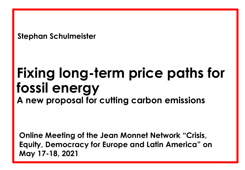**Stephan Schulmeister**

# **Fixing long-term price paths for fossil energy A new proposal for cutting carbon emissions**

**Online Meeting of the Jean Monnet Network "Crisis, Equity, Democracy for Europe and Latin America" on May 17-18, 2021**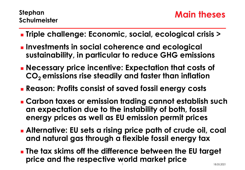- <sup>◼</sup> **Triple challenge: Economic, social, ecological crisis >**
- Investments in social coherence and ecological **sustainability, in particular to reduce GHG emissions**
- **Necessary price incentive: Expectation that costs of CO2 emissions rise steadily and faster than inflation**
- <sup>◼</sup> **Reason: Profits consist of saved fossil energy costs**
- <sup>◼</sup> **Carbon taxes or emission trading cannot establish such an expectation due to the instability of both, fossil energy prices as well as EU emission permit prices**
- Alternative: EU sets a rising price path of crude oil, coal **and natural gas through a flexible fossil energy tax**
- 1 1  $\sqrt{ }$  18.05.2021 <sup>◼</sup> **The tax skims off the difference between the EU target price and the respective world market price**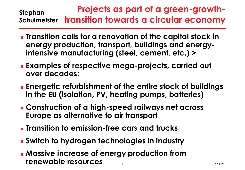#### **Stephan Schulmeister Projects as part of a green-growthtransition towards a circular economy**

- <sup>◼</sup> **Transition calls for a renovation of the capital stock in energy production, transport, buildings and energyintensive manufacturing (steel, cement, etc.) >**
- <sup>◼</sup> **Examples of respective mega-projects, carried out over decades:**
- <sup>◼</sup> **Energetic refurbishment of the entire stock of buildings in the EU (isolation, PV, heating pumps, batteries)**
- <sup>◼</sup> **Construction of a high-speed railways net across Europe as alternative to air transport**
- <sup>◼</sup> **Transition to emission-free cars and trucks**
- <sup>◼</sup> **Switch to hydrogen technologies in industry**
- 2 18.05.2021 <sup>◼</sup> **Massive increase of energy production from renewable resources**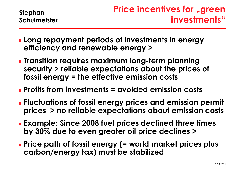**Stephan Schulmeister**

- Long repayment periods of investments in energy **efficiency and renewable energy >**
- <sup>◼</sup> **Transition requires maximum long-term planning security > reliable expectations about the prices of fossil energy = the effective emission costs**
- <sup>◼</sup> **Profits from investments = avoided emission costs**
- Fluctuations of fossil energy prices and emission permit **prices > no reliable expectations about emission costs**
- **Example: Since 2008 fuel prices declined three times by 30% due to even greater oil price declines >**
- Price path of fossil energy (= world market prices plus **carbon/energy tax) must be stabilized**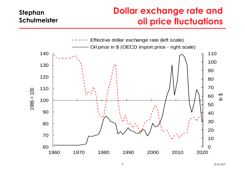### **Stephan Schulmeister**

## **Dollar exchange rate and oil price fluctuations**

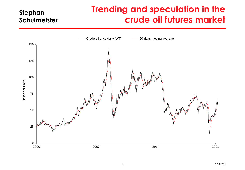## **Trending and speculation in the crude oil futures market**



**Stephan** 

**Schulmeister**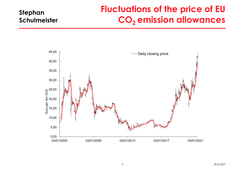### **Fluctuations of the price of EU CO2 emission allowances**



**Stephan** 

**Schulmeister**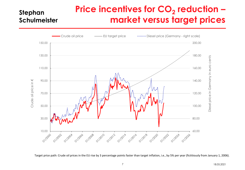#### **Stephan Schulmeister Price incentives for CO<sup>2</sup> reduction – market versus target prices**



Target price path: Crude oil prices in the EU rise by 3 percentage points faster than target inflation, i.e., by 5% per year (fictitiously from January 1, 2006).